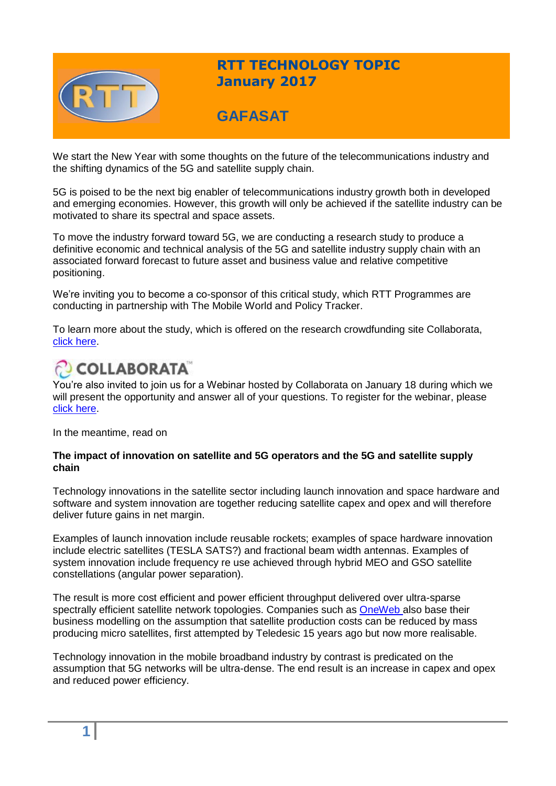

## **RTT TECHNOLOGY TOPIC January 2017**

## **GAFASAT**

We start the New Year with some thoughts on the future of the telecommunications industry and the shifting dynamics of the 5G and satellite supply chain.

5G is poised to be the next big enabler of telecommunications industry growth both in developed and emerging economies. However, this growth will only be achieved if the satellite industry can be motivated to share its spectral and space assets.

To move the industry forward toward 5G, we are conducting a research study to produce a definitive economic and technical analysis of the 5G and satellite industry supply chain with an associated forward forecast to future asset and business value and relative competitive positioning.

We're inviting you to become a co-sponsor of this critical study, which RTT Programmes are conducting in partnership with The Mobile World and Policy Tracker.

To learn more about the study, which is offered on the research crowdfunding site Collaborata[,](http://www.collaborata.com/projects/186) [click here.](http://www.collaborata.com/projects/186)

# COLLABORATA

You're also invited to join us for a Webinar hosted by Collaborata on January 18 during which we will pr[e](https://collaborata.clickmeeting.com/-an-investigation-into-5g-and-satellite-industry-supply-chain-economics-and-spectral-and-space-asset/register?_ga=1.86023768.1311903173.1475850689)sent the opportunity and answer all of your questions. To register for the webinar, please [click here.](https://collaborata.clickmeeting.com/-an-investigation-into-5g-and-satellite-industry-supply-chain-economics-and-spectral-and-space-asset/register?_ga=1.86023768.1311903173.1475850689)

In the meantime, read on

#### **The impact of innovation on satellite and 5G operators and the 5G and satellite supply chain**

Technology innovations in the satellite sector including launch innovation and space hardware and software and system innovation are together reducing satellite capex and opex and will therefore deliver future gains in net margin.

Examples of launch innovation include reusable rockets; examples of space hardware innovation include electric satellites (TESLA SATS?) and fractional beam width antennas. Examples of system innovation include frequency re use achieved through hybrid MEO and GSO satellite constellations (angular power separation).

The result is more cost efficient and power efficient throughput delivered over ultra-sparse spectrally efficient satellite network topologies. Companies such as [OneWeb a](http://oneweb.world/)lso base their business modelling on the assumption that satellite production costs can be reduced by mass producing micro satellites, first attempted by Teledesic 15 years ago but now more realisable.

Technology innovation in the mobile broadband industry by contrast is predicated on the assumption that 5G networks will be ultra-dense. The end result is an increase in capex and opex and reduced power efficiency.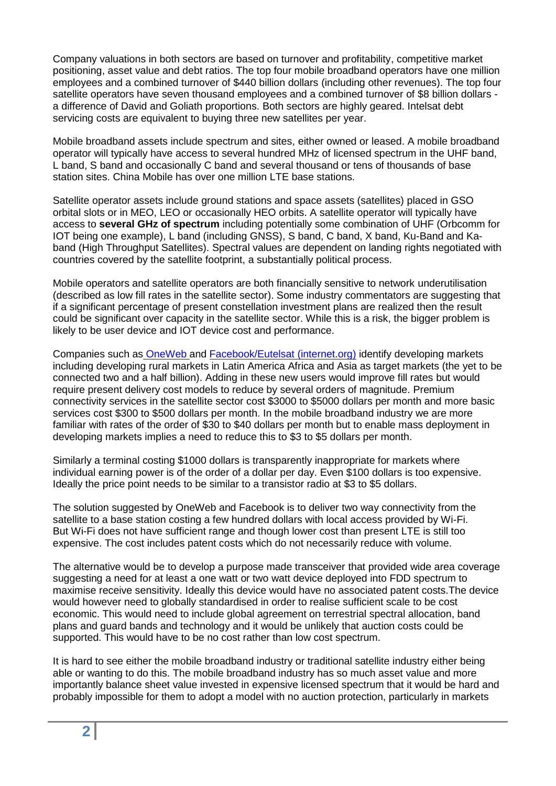Company valuations in both sectors are based on turnover and profitability, competitive market positioning, asset value and debt ratios. The top four mobile broadband operators have one million employees and a combined turnover of \$440 billion dollars (including other revenues). The top four satellite operators have seven thousand employees and a combined turnover of \$8 billion dollars a difference of David and Goliath proportions. Both sectors are highly geared. Intelsat debt servicing costs are equivalent to buying three new satellites per year.

Mobile broadband assets include spectrum and sites, either owned or leased. A mobile broadband operator will typically have access to several hundred MHz of licensed spectrum in the UHF band, L band, S band and occasionally C band and several thousand or tens of thousands of base station sites. China Mobile has over one million LTE base stations.

Satellite operator assets include ground stations and space assets (satellites) placed in GSO orbital slots or in MEO, LEO or occasionally HEO orbits. A satellite operator will typically have access to **several GHz of spectrum** including potentially some combination of UHF (Orbcomm for IOT being one example), L band (including GNSS), S band, C band, X band, Ku-Band and Kaband (High Throughput Satellites). Spectral values are dependent on landing rights negotiated with countries covered by the satellite footprint, a substantially political process.

Mobile operators and satellite operators are both financially sensitive to network underutilisation (described as low fill rates in the satellite sector). Some industry commentators are suggesting that if a significant percentage of present constellation investment plans are realized then the result could be significant over capacity in the satellite sector. While this is a risk, the bigger problem is likely to be user device and IOT device cost and performance.

Companies such as [OneWeb a](http://oneweb.world/)nd [Facebook/Eutelsat \(internet.org\)](https://info.internet.org/en/) identify developing markets including developing rural markets in Latin America Africa and Asia as target markets (the yet to be connected two and a half billion). Adding in these new users would improve fill rates but would require present delivery cost models to reduce by several orders of magnitude. Premium connectivity services in the satellite sector cost \$3000 to \$5000 dollars per month and more basic services cost \$300 to \$500 dollars per month. In the mobile broadband industry we are more familiar with rates of the order of \$30 to \$40 dollars per month but to enable mass deployment in developing markets implies a need to reduce this to \$3 to \$5 dollars per month.

Similarly a terminal costing \$1000 dollars is transparently inappropriate for markets where individual earning power is of the order of a dollar per day. Even \$100 dollars is too expensive. Ideally the price point needs to be similar to a transistor radio at \$3 to \$5 dollars.

The solution suggested by OneWeb and Facebook is to deliver two way connectivity from the satellite to a base station costing a few hundred dollars with local access provided by Wi-Fi. But Wi-Fi does not have sufficient range and though lower cost than present LTE is still too expensive. The cost includes patent costs which do not necessarily reduce with volume.

The alternative would be to develop a purpose made transceiver that provided wide area coverage suggesting a need for at least a one watt or two watt device deployed into FDD spectrum to maximise receive sensitivity. Ideally this device would have no associated patent costs.The device would however need to globally standardised in order to realise sufficient scale to be cost economic. This would need to include global agreement on terrestrial spectral allocation, band plans and guard bands and technology and it would be unlikely that auction costs could be supported. This would have to be no cost rather than low cost spectrum.

It is hard to see either the mobile broadband industry or traditional satellite industry either being able or wanting to do this. The mobile broadband industry has so much asset value and more importantly balance sheet value invested in expensive licensed spectrum that it would be hard and probably impossible for them to adopt a model with no auction protection, particularly in markets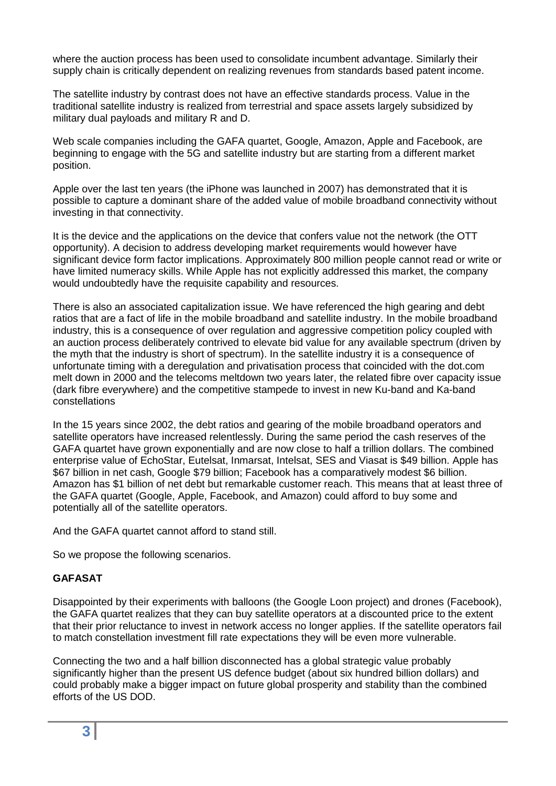where the auction process has been used to consolidate incumbent advantage. Similarly their supply chain is critically dependent on realizing revenues from standards based patent income.

The satellite industry by contrast does not have an effective standards process. Value in the traditional satellite industry is realized from terrestrial and space assets largely subsidized by military dual payloads and military R and D.

Web scale companies including the GAFA quartet, Google, Amazon, Apple and Facebook, are beginning to engage with the 5G and satellite industry but are starting from a different market position.

Apple over the last ten years (the iPhone was launched in 2007) has demonstrated that it is possible to capture a dominant share of the added value of mobile broadband connectivity without investing in that connectivity.

It is the device and the applications on the device that confers value not the network (the OTT opportunity). A decision to address developing market requirements would however have significant device form factor implications. Approximately 800 million people cannot read or write or have limited numeracy skills. While Apple has not explicitly addressed this market, the company would undoubtedly have the requisite capability and resources.

There is also an associated capitalization issue. We have referenced the high gearing and debt ratios that are a fact of life in the mobile broadband and satellite industry. In the mobile broadband industry, this is a consequence of over regulation and aggressive competition policy coupled with an auction process deliberately contrived to elevate bid value for any available spectrum (driven by the myth that the industry is short of spectrum). In the satellite industry it is a consequence of unfortunate timing with a deregulation and privatisation process that coincided with the dot.com melt down in 2000 and the telecoms meltdown two years later, the related fibre over capacity issue (dark fibre everywhere) and the competitive stampede to invest in new Ku-band and Ka-band constellations

In the 15 years since 2002, the debt ratios and gearing of the mobile broadband operators and satellite operators have increased relentlessly. During the same period the cash reserves of the GAFA quartet have grown exponentially and are now close to half a trillion dollars. The combined enterprise value of EchoStar, Eutelsat, Inmarsat, Intelsat, SES and Viasat is \$49 billion. Apple has \$67 billion in net cash, Google \$79 billion; Facebook has a comparatively modest \$6 billion. Amazon has \$1 billion of net debt but remarkable customer reach. This means that at least three of the GAFA quartet (Google, Apple, Facebook, and Amazon) could afford to buy some and potentially all of the satellite operators.

And the GAFA quartet cannot afford to stand still.

So we propose the following scenarios.

## **GAFASAT**

Disappointed by their experiments with balloons (the Google Loon project) and drones (Facebook), the GAFA quartet realizes that they can buy satellite operators at a discounted price to the extent that their prior reluctance to invest in network access no longer applies. If the satellite operators fail to match constellation investment fill rate expectations they will be even more vulnerable.

Connecting the two and a half billion disconnected has a global strategic value probably significantly higher than the present US defence budget (about six hundred billion dollars) and could probably make a bigger impact on future global prosperity and stability than the combined efforts of the US DOD.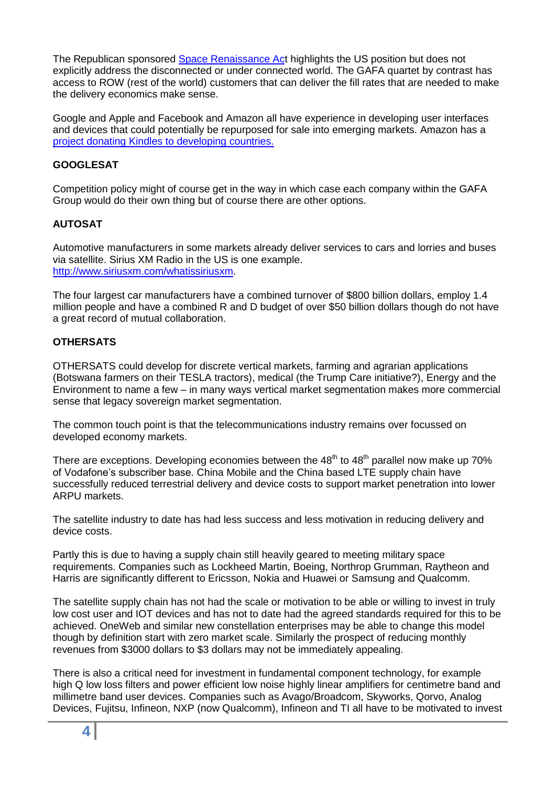The Republican sponsored [Space Renaissance Act](http://bridenstine.house.gov/space/) highlights the US position but does not explicitly address the disconnected or under connected world. The GAFA quartet by contrast has access to ROW (rest of the world) customers that can deliver the fill rates that are needed to make the delivery economics make sense.

Google and Apple and Facebook and Amazon all have experience in developing user interfaces and devices that could potentially be repurposed for sale into emerging markets. Amazon has a [project donating Kindles to developing countries.](http://www.thebookseller.com/news/amazon-donate-kindles-developing-countries-382976)

## **GOOGLESAT**

Competition policy might of course get in the way in which case each company within the GAFA Group would do their own thing but of course there are other options.

## **AUTOSAT**

Automotive manufacturers in some markets already deliver services to cars and lorries and buses via satellite. Sirius XM Radio in the US is one example. [http://www.siriusxm.com/whatissiriusxm.](http://www.siriusxm.com/whatissiriusxm)

The four largest car manufacturers have a combined turnover of \$800 billion dollars, employ 1.4 million people and have a combined R and D budget of over \$50 billion dollars though do not have a great record of mutual collaboration.

## **OTHERSATS**

OTHERSATS could develop for discrete vertical markets, farming and agrarian applications (Botswana farmers on their TESLA tractors), medical (the Trump Care initiative?), Energy and the Environment to name a few – in many ways vertical market segmentation makes more commercial sense that legacy sovereign market segmentation.

The common touch point is that the telecommunications industry remains over focussed on developed economy markets.

There are exceptions. Developing economies between the  $48<sup>th</sup>$  to  $48<sup>th</sup>$  parallel now make up 70% of Vodafone's subscriber base. China Mobile and the China based LTE supply chain have successfully reduced terrestrial delivery and device costs to support market penetration into lower ARPU markets.

The satellite industry to date has had less success and less motivation in reducing delivery and device costs.

Partly this is due to having a supply chain still heavily geared to meeting military space requirements. Companies such as Lockheed Martin, Boeing, Northrop Grumman, Raytheon and Harris are significantly different to Ericsson, Nokia and Huawei or Samsung and Qualcomm.

The satellite supply chain has not had the scale or motivation to be able or willing to invest in truly low cost user and IOT devices and has not to date had the agreed standards required for this to be achieved. OneWeb and similar new constellation enterprises may be able to change this model though by definition start with zero market scale. Similarly the prospect of reducing monthly revenues from \$3000 dollars to \$3 dollars may not be immediately appealing.

There is also a critical need for investment in fundamental component technology, for example high Q low loss filters and power efficient low noise highly linear amplifiers for centimetre band and millimetre band user devices. Companies such as Avago/Broadcom, Skyworks, Qorvo, Analog Devices, Fujitsu, Infineon, NXP (now Qualcomm), Infineon and TI all have to be motivated to invest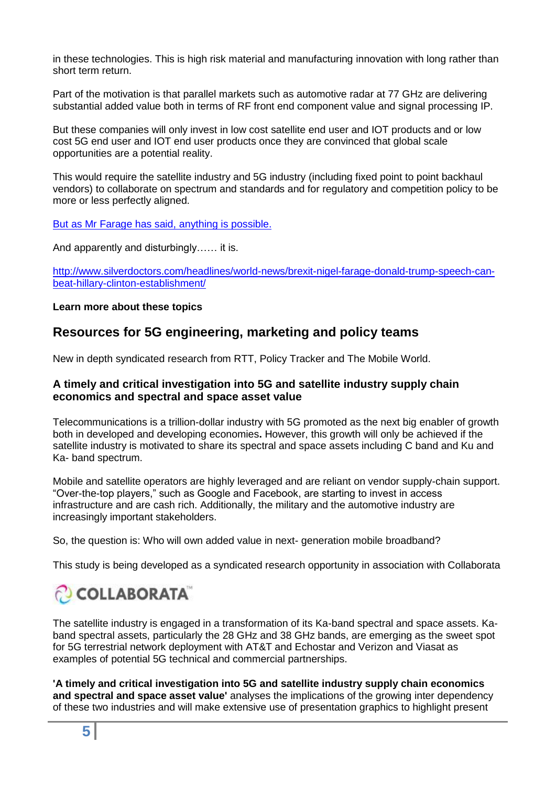in these technologies. This is high risk material and manufacturing innovation with long rather than short term return.

Part of the motivation is that parallel markets such as automotive radar at 77 GHz are delivering substantial added value both in terms of RF front end component value and signal processing IP.

But these companies will only invest in low cost satellite end user and IOT products and or low cost 5G end user and IOT end user products once they are convinced that global scale opportunities are a potential reality.

This would require the satellite industry and 5G industry (including fixed point to point backhaul vendors) to collaborate on spectrum and standards and for regulatory and competition policy to be more or less perfectly aligned.

But [as Mr Farage has said, anything](http://www.silverdoctors.com/headlines/world-news/brexit-nigel-farage-donald-trump-speech-can-beat-hillary-clinton-establishment/) is possible.

And apparently and disturbingly…… it is.

[http://www.silverdoctors.com/headlines/world-news/brexit-nigel-farage-donald-trump-speech-can](http://www.silverdoctors.com/headlines/world-news/brexit-nigel-farage-donald-trump-speech-can-beat-hillary-clinton-establishment/)[beat-hillary-clinton-establishment/](http://www.silverdoctors.com/headlines/world-news/brexit-nigel-farage-donald-trump-speech-can-beat-hillary-clinton-establishment/)

#### **Learn more about these topics**

## **Resources for 5G engineering, marketing and policy teams**

New in depth syndicated research from RTT, Policy Tracker and The Mobile World.

## **A timely and critical investigation into 5G and satellite industry supply chain economics and spectral and space asset value**

Telecommunications is a trillion-dollar industry with 5G promoted as the next big enabler of growth both in developed and developing economies**.** However, this growth will only be achieved if the satellite industry is motivated to share its spectral and space assets including C band and Ku and Ka- band spectrum.

Mobile and satellite operators are highly leveraged and are reliant on vendor supply-chain support. "Over-the-top players," such as Google and Facebook, are starting to invest in access infrastructure and are cash rich. Additionally, the military and the automotive industry are increasingly important stakeholders.

So, the question is: Who will own added value in next- generation mobile broadband?

This study is being developed as a syndicated research opportunity in association with Collaborata

# COLLABORATA

The satellite industry is engaged in a transformation of its Ka-band spectral and space assets. Kaband spectral assets, particularly the 28 GHz and 38 GHz bands, are emerging as the sweet spot for 5G terrestrial network deployment with AT&T and Echostar and Verizon and Viasat as examples of potential 5G technical and commercial partnerships.

**'A timely and critical investigation into 5G and satellite industry supply chain economics and spectral and space asset value'** analyses the implications of the growing inter dependency of these two industries and will make extensive use of presentation graphics to highlight present